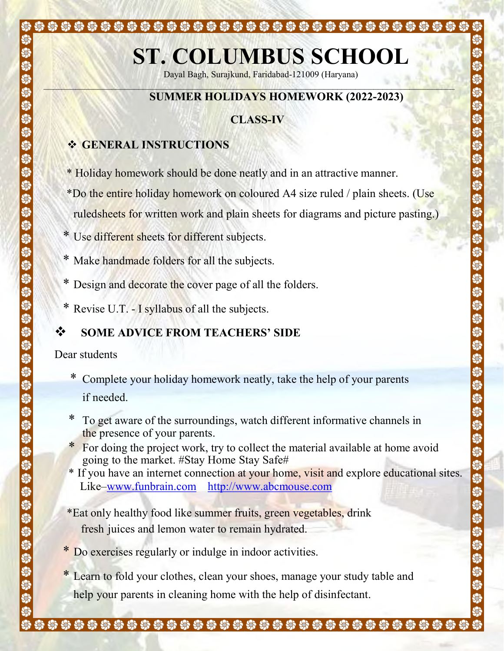# ST. COLUMBUS SCHOOL

Dayal Bagh, Surajkund, Faridabad-121009 (Haryana)  $\Box_{\mathcal{M}}(X,Y) = \Box_{\mathcal{M}}(X,Y) = \Box_{\mathcal{M}}(Y,Y) = \Box_{\mathcal{M}}(Y) \Box_{\mathcal{M}}(Y) = \Box_{\mathcal{M}}(Y) \Box_{\mathcal{M}}(Y) = \Box_{\mathcal{M}}(Y) = \Box_{\mathcal{M}}(Y) = \Box_{\mathcal{M}}(Y) = \Box_{\mathcal{M}}(Y) = \Box_{\mathcal{M}}(Y) = \Box_{\mathcal{M}}(Y) = \Box_{\mathcal{M}}(Y) = \Box_{\mathcal{M}}(Y) = \Box_{\mathcal{M}}(Y) = \Box_{\mathcal{M}}(Y$ 

## SUMMER HOLIDAYS HOMEWORK (2022-2023)

# CLASS-IV

## **❖ GENERAL INSTRUCTIONS**

\* Holiday homework should be done neatly and in an attractive manner.

\*\*\*\*\*\*\*\*\*\*\*\*\*\*\*\*\*\*\*\*\*\*\*\*\*\*\*\*\*\*\*\*\*\*\*\*

- \*Do the entire holiday homework on coloured A4 size ruled / plain sheets. (Use ruled sheets for written work and plain sheets for diagrams and picture pasting.)
- \* Use different sheets for different subjects.
- \* Make handmade folders for all the subjects.
- \* Design and decorate the cover page of all the folders.
- \* Revise U.T. I syllabus of all the subjects.

# SOME ADVICE FROM TEACHERS' SIDE

Dear students

S

S

- \* Complete your holiday homework neatly, take the help of your parents if needed.
- \* To get aware of the surroundings, watch different informative channels in the presence of your parents.
- \* For doing the project work, try to collect the material available at home avoid going to the market. #Stay Home Stay Safe#
- \* If you have an internet connection at your home, visit and explore educational sites. Like–www.funbrain.com http://www.abcmouse.com
- \*Eat only healthy food like summer fruits, green vegetables, drink fresh juices and lemon water to remain hydrated.
- \* Do exercises regularly or indulge in indoor activities.
- Learn to fold your clothes, clean your shoes, manage your study table and help your parents in cleaning home with the help of disinfectant.

\*\*\*\*\*\*\*\*\*\*\*\*\*\*\*\*\*\*\*\*\*\*\*\*\*\*\*\*\*\*\*\*\*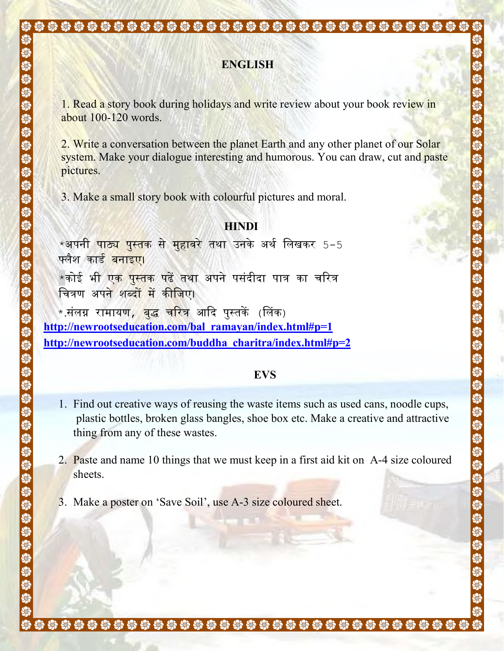### ENGLISH

1. Read a story book during holidays and write review about your book review in about 100-120 words.

2. Write a conversation between the planet Earth and any other planet of our Solar system. Make your dialogue interesting and humorous. You can draw, cut and paste pictures.

3. Make a small story book with colourful pictures and moral.

#### **HINDI**

 $\star$ अपनी पाठ<mark>्य पुस्त</mark>क से मुहावरे तथा उनके अर्थ लिखकर 5−5 फ्लैश कार्<mark>ड बनाइए</mark>।  $\star$ कोई भी ए<mark>क पुस्तक पढें तथा अपने पसंदीदा पात्र का च</mark>रित्र

चित्रण अपने शब्द<mark>ों में कीज</mark>िए।

\*.संलग्न रामायण*, बद्ध* चरित्र आदि पस्तकें (लिंक) http://newrootseducation.com/bal\_ramayan/index.html#p=1 http://newrootseducation.com/buddha\_charitra/index.html#p=2

#### EVS

- 1. Find out creative ways of reusing the waste items such as used cans, noodle cups, plastic bottles, broken glass bangles, shoe box etc. Make a creative and attractive thing from any of these wastes.
- 2. Paste and name 10 things that we must keep in a first aid kit on A-4 size coloured sheets.
- 3. Make a poster on 'Save Soil', use A-3 size coloured sheet.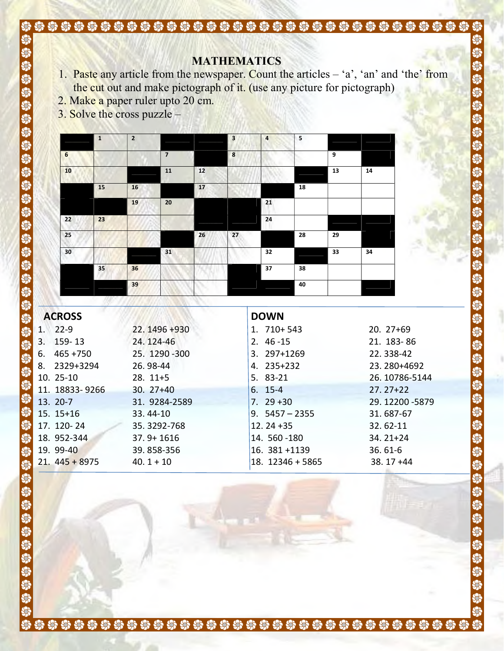# **MATHEMATICS**

1. Paste any article from the newspaper. Count the articles  $-$  'a', 'an' and 'the' from the cut out and make pictograph of it. (use any picture for pictograph)

きゅうちゅうかいかいきゅうかいかいかいかいかいかいかい

\$\$\$\$\$\$

S, S S

Si<br>Si

S S  $\overline{\mathbf{S}}$ 

- 2. Make a paper ruler upto 20 cm.
- 3. Solve the cross puzzle –

|                 | $\mathbf{1}$ | $\overline{2}$ |                |      | $\overline{\mathbf{3}}$ | $\overline{4}$ | 5  |    |    |
|-----------------|--------------|----------------|----------------|------|-------------------------|----------------|----|----|----|
| $6\phantom{1}6$ |              |                | $\overline{7}$ |      | 8                       |                |    | 9  |    |
| 10              |              |                | 11             | 12   |                         |                |    | 13 | 14 |
|                 | 15           | 16             |                | $17$ |                         |                | 18 |    |    |
|                 |              | 19             | 20             |      |                         | 21             |    |    |    |
| 22              | 23           |                |                |      |                         | 24             |    |    |    |
| 25              |              |                |                | 26   | 27<br>w                 |                | 28 | 29 |    |
| 30              |              |                | 31             |      |                         | 32             |    | 33 | 34 |
|                 | 35           | 36             |                |      |                         | 37             | 38 |    |    |
|                 |              | 39             |                |      |                         |                | 40 |    |    |

| <b>ACROSS</b>     |                | <b>DOWN</b>      |               |
|-------------------|----------------|------------------|---------------|
| $22 - 9$<br>1.    | 22.1496+930    | $1.710+543$      | $20.27+69$    |
| 159-13<br>3.      | 24.124-46      | $2.46 - 15$      | 21. 183-86    |
| $465 + 750$<br>6. | 25. 1290 - 300 | 3. 297+1269      | 22.338-42     |
| 2329+3294<br>8.   | 26.98-44       | 4. 235+232       | 23.280+4692   |
| $10.25-10$        | $28.11+5$      | 5. 83-21         | 26.10786-5144 |
| 11. 18833-9266    | $30.27+40$     | $6.15-4$         | $27.27 + 22$  |
| 13. 20-7          | 31. 9284-2589  | $7.29 + 30$      | 29.12200-5879 |
| $15.15+16$        | 33.44-10       | $9.5457 - 2355$  | 31.687-67     |
| 17. 120-24        | 35.3292-768    | $12.24 + 35$     | 32.62-11      |
| 18. 952-344       | $37.9 + 1616$  | 14. 560 - 180    | $34.21 + 24$  |
| 19. 99-40         | 39.858-356     | 16. 381 +1139    | $36.61 - 6$   |
| $21.445 + 8975$   | $40.1 + 10$    | 18. 12346 + 5865 | $38.17 + 44$  |